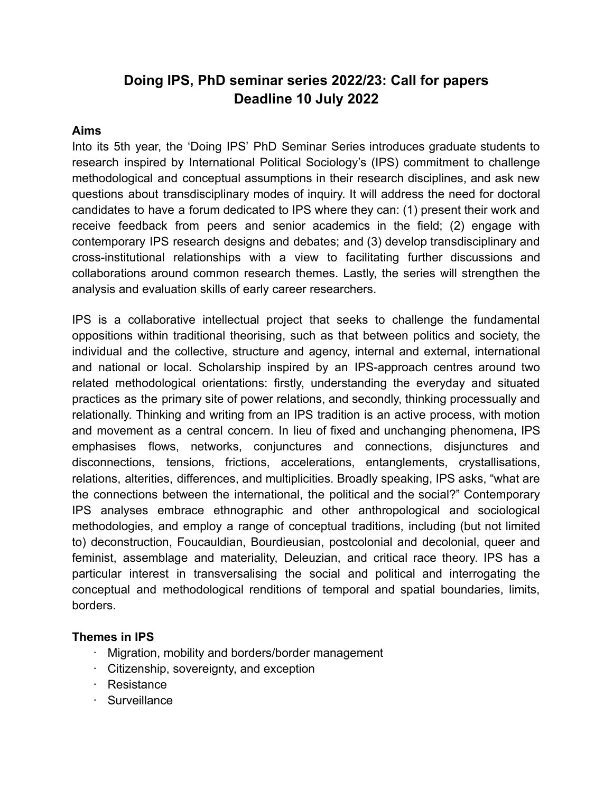# **Doing IPS, PhD seminar series 2022/23: Call for papers Deadline 10 July 2022**

#### **Aims**

Into its 5th year, the 'Doing IPS' PhD Seminar Series introduces graduate students to research inspired by International Political Sociology's (IPS) commitment to challenge methodological and conceptual assumptions in their research disciplines, and ask new questions about transdisciplinary modes of inquiry. It will address the need for doctoral candidates to have a forum dedicated to IPS where they can: (1) present their work and receive feedback from peers and senior academics in the field; (2) engage with contemporary IPS research designs and debates; and (3) develop transdisciplinary and cross-institutional relationships with a view to facilitating further discussions and collaborations around common research themes. Lastly, the series will strengthen the analysis and evaluation skills of early career researchers.

IPS is a collaborative intellectual project that seeks to challenge the fundamental oppositions within traditional theorising, such as that between politics and society, the individual and the collective, structure and agency, internal and external, international and national or local. Scholarship inspired by an IPS-approach centres around two related methodological orientations: firstly, understanding the everyday and situated practices as the primary site of power relations, and secondly, thinking processually and relationally. Thinking and writing from an IPS tradition is an active process, with motion and movement as a central concern. In lieu of fixed and unchanging phenomena, IPS emphasises flows, networks, conjunctures and connections, disjunctures and disconnections, tensions, frictions, accelerations, entanglements, crystallisations, relations, alterities, differences, and multiplicities. Broadly speaking, IPS asks, "what are the connections between the international, the political and the social?" Contemporary IPS analyses embrace ethnographic and other anthropological and sociological methodologies, and employ a range of conceptual traditions, including (but not limited to) deconstruction, Foucauldian, Bourdieusian, postcolonial and decolonial, queer and feminist, assemblage and materiality, Deleuzian, and critical race theory. IPS has a particular interest in transversalising the social and political and interrogating the conceptual and methodological renditions of temporal and spatial boundaries, limits, borders.

#### **Themes in IPS**

- · Migration, mobility and borders/border management
- · Citizenship, sovereignty, and exception
- · Resistance
- · Surveillance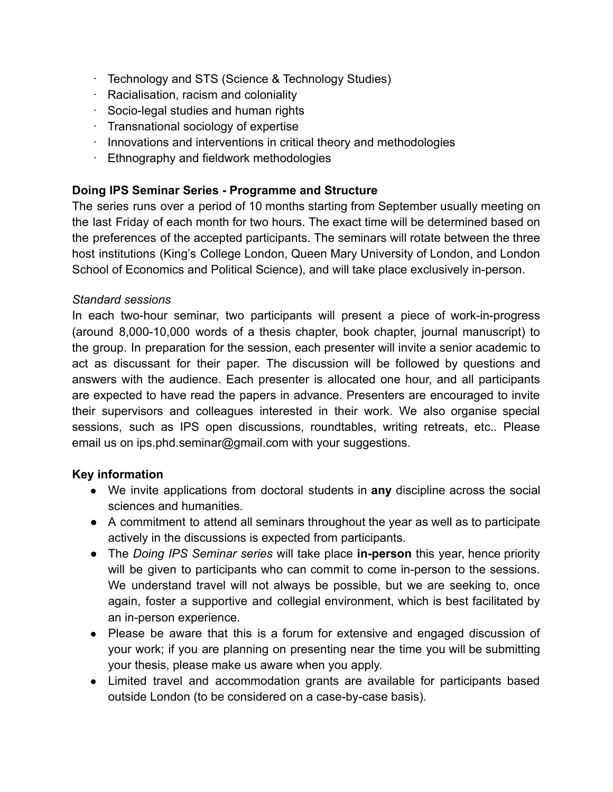- · Technology and STS (Science & Technology Studies)
- · Racialisation, racism and coloniality
- · Socio-legal studies and human rights
- · Transnational sociology of expertise
- · Innovations and interventions in critical theory and methodologies
- · Ethnography and fieldwork methodologies

### **Doing IPS Seminar Series - Programme and Structure**

The series runs over a period of 10 months starting from September usually meeting on the last Friday of each month for two hours. The exact time will be determined based on the preferences of the accepted participants. The seminars will rotate between the three host institutions (King's College London, Queen Mary University of London, and London School of Economics and Political Science), and will take place exclusively in-person.

#### *Standard sessions*

In each two-hour seminar, two participants will present a piece of work-in-progress (around 8,000-10,000 words of a thesis chapter, book chapter, journal manuscript) to the group. In preparation for the session, each presenter will invite a senior academic to act as discussant for their paper. The discussion will be followed by questions and answers with the audience. Each presenter is allocated one hour, and all participants are expected to have read the papers in advance. Presenters are encouraged to invite their supervisors and colleagues interested in their work. We also organise special sessions, such as IPS open discussions, roundtables, writing retreats, etc.. Please email us on ips.phd.seminar@gmail.com with your suggestions.

#### **Key information**

- We invite applications from doctoral students in **any** discipline across the social sciences and humanities.
- A commitment to attend all seminars throughout the year as well as to participate actively in the discussions is expected from participants.
- The *Doing IPS Seminar series* will take place **in-person** this year, hence priority will be given to participants who can commit to come in-person to the sessions. We understand travel will not always be possible, but we are seeking to, once again, foster a supportive and collegial environment, which is best facilitated by an in-person experience.
- Please be aware that this is a forum for extensive and engaged discussion of your work; if you are planning on presenting near the time you will be submitting your thesis, please make us aware when you apply.
- Limited travel and accommodation grants are available for participants based outside London (to be considered on a case-by-case basis).